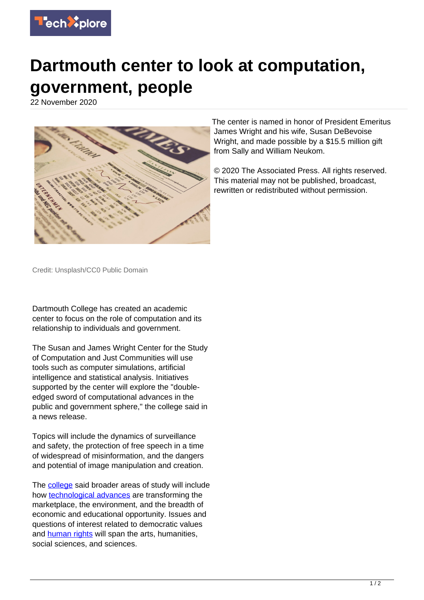

## **Dartmouth center to look at computation, government, people**

22 November 2020



The center is named in honor of President Emeritus James Wright and his wife, Susan DeBevoise Wright, and made possible by a \$15.5 million gift from Sally and William Neukom.

© 2020 The Associated Press. All rights reserved. This material may not be published, broadcast, rewritten or redistributed without permission.

Credit: Unsplash/CC0 Public Domain

Dartmouth College has created an academic center to focus on the role of computation and its relationship to individuals and government.

The Susan and James Wright Center for the Study of Computation and Just Communities will use tools such as computer simulations, artificial intelligence and statistical analysis. Initiatives supported by the center will explore the "doubleedged sword of computational advances in the public and government sphere," the college said in a news release.

Topics will include the dynamics of surveillance and safety, the protection of free speech in a time of widespread of misinformation, and the dangers and potential of image manipulation and creation.

The **college** said broader areas of study will include how [technological advances](https://techxplore.com/tags/technological+advances/) are transforming the marketplace, the environment, and the breadth of economic and educational opportunity. Issues and questions of interest related to democratic values and [human rights](https://techxplore.com/tags/human+rights/) will span the arts, humanities, social sciences, and sciences.